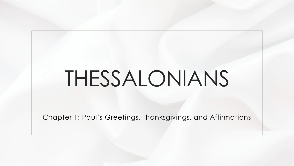## THESSALONIANS

Chapter 1: Paul's Greetings, Thanksgivings, and Affirmations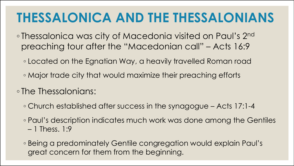## **THESSALONICA AND THE THESSALONIANS**

- Thessalonica was city of Macedonia visited on Paul's 2nd preaching tour after the "Macedonian call" – Acts 16:9
	- Located on the Egnatian Way, a heavily travelled Roman road
	- Major trade city that would maximize their preaching efforts
- The Thessalonians:
	- Church established after success in the synagogue Acts 17:1-4
	- Paul's description indicates much work was done among the Gentiles – 1 Thess. 1:9
	- Being a predominately Gentile congregation would explain Paul's great concern for them from the beginning.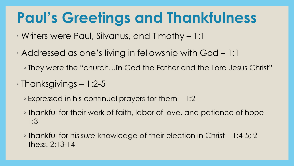## **Paul's Greetings and Thankfulness**

◦ Writers were Paul, Silvanus, and Timothy – 1:1

- Addressed as one's living in fellowship with God 1:1
	- They were the "church…**in** God the Father and the Lord Jesus Christ"
- Thanksgivings 1:2-5
	- Expressed in his continual prayers for them 1:2
	- Thankful for their work of faith, labor of love, and patience of hope 1:3
	- Thankful for his *sure* knowledge of their election in Christ 1:4-5; 2 Thess. 2:13-14